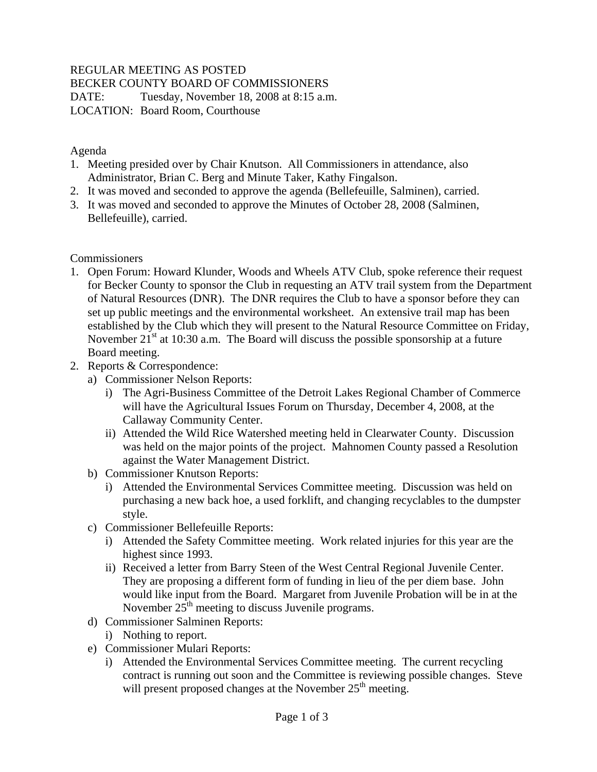## REGULAR MEETING AS POSTED

BECKER COUNTY BOARD OF COMMISSIONERS

DATE: Tuesday, November 18, 2008 at 8:15 a.m. LOCATION: Board Room, Courthouse

#### Agenda

- 1. Meeting presided over by Chair Knutson. All Commissioners in attendance, also Administrator, Brian C. Berg and Minute Taker, Kathy Fingalson.
- 2. It was moved and seconded to approve the agenda (Bellefeuille, Salminen), carried.
- 3. It was moved and seconded to approve the Minutes of October 28, 2008 (Salminen, Bellefeuille), carried.

### **Commissioners**

- 1. Open Forum: Howard Klunder, Woods and Wheels ATV Club, spoke reference their request for Becker County to sponsor the Club in requesting an ATV trail system from the Department of Natural Resources (DNR). The DNR requires the Club to have a sponsor before they can set up public meetings and the environmental worksheet. An extensive trail map has been established by the Club which they will present to the Natural Resource Committee on Friday, November  $21^{st}$  at 10:30 a.m. The Board will discuss the possible sponsorship at a future Board meeting.
- 2. Reports & Correspondence:
	- a) Commissioner Nelson Reports:
		- i) The Agri-Business Committee of the Detroit Lakes Regional Chamber of Commerce will have the Agricultural Issues Forum on Thursday, December 4, 2008, at the Callaway Community Center.
		- ii) Attended the Wild Rice Watershed meeting held in Clearwater County. Discussion was held on the major points of the project. Mahnomen County passed a Resolution against the Water Management District.
	- b) Commissioner Knutson Reports:
		- i) Attended the Environmental Services Committee meeting. Discussion was held on purchasing a new back hoe, a used forklift, and changing recyclables to the dumpster style.
	- c) Commissioner Bellefeuille Reports:
		- i) Attended the Safety Committee meeting. Work related injuries for this year are the highest since 1993.
		- ii) Received a letter from Barry Steen of the West Central Regional Juvenile Center. They are proposing a different form of funding in lieu of the per diem base. John would like input from the Board. Margaret from Juvenile Probation will be in at the November  $25<sup>th</sup>$  meeting to discuss Juvenile programs.
	- d) Commissioner Salminen Reports:
		- i) Nothing to report.
	- e) Commissioner Mulari Reports:
		- i) Attended the Environmental Services Committee meeting. The current recycling contract is running out soon and the Committee is reviewing possible changes. Steve will present proposed changes at the November  $25<sup>th</sup>$  meeting.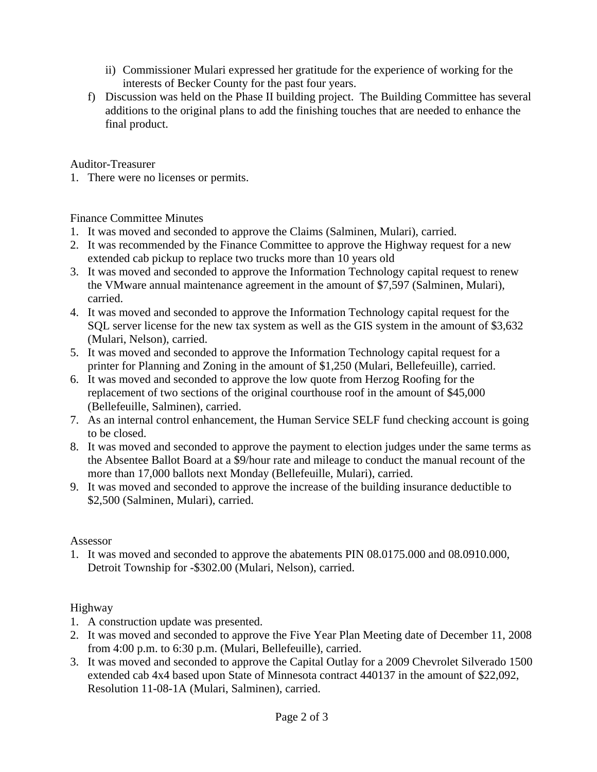- ii) Commissioner Mulari expressed her gratitude for the experience of working for the interests of Becker County for the past four years.
- f) Discussion was held on the Phase II building project. The Building Committee has several additions to the original plans to add the finishing touches that are needed to enhance the final product.

Auditor-Treasurer

1. There were no licenses or permits.

### Finance Committee Minutes

- 1. It was moved and seconded to approve the Claims (Salminen, Mulari), carried.
- 2. It was recommended by the Finance Committee to approve the Highway request for a new extended cab pickup to replace two trucks more than 10 years old
- 3. It was moved and seconded to approve the Information Technology capital request to renew the VMware annual maintenance agreement in the amount of \$7,597 (Salminen, Mulari), carried.
- 4. It was moved and seconded to approve the Information Technology capital request for the SQL server license for the new tax system as well as the GIS system in the amount of \$3,632 (Mulari, Nelson), carried.
- 5. It was moved and seconded to approve the Information Technology capital request for a printer for Planning and Zoning in the amount of \$1,250 (Mulari, Bellefeuille), carried.
- 6. It was moved and seconded to approve the low quote from Herzog Roofing for the replacement of two sections of the original courthouse roof in the amount of \$45,000 (Bellefeuille, Salminen), carried.
- 7. As an internal control enhancement, the Human Service SELF fund checking account is going to be closed.
- 8. It was moved and seconded to approve the payment to election judges under the same terms as the Absentee Ballot Board at a \$9/hour rate and mileage to conduct the manual recount of the more than 17,000 ballots next Monday (Bellefeuille, Mulari), carried.
- 9. It was moved and seconded to approve the increase of the building insurance deductible to \$2,500 (Salminen, Mulari), carried.

### Assessor

1. It was moved and seconded to approve the abatements PIN 08.0175.000 and 08.0910.000, Detroit Township for -\$302.00 (Mulari, Nelson), carried.

# Highway

- 1. A construction update was presented.
- 2. It was moved and seconded to approve the Five Year Plan Meeting date of December 11, 2008 from 4:00 p.m. to 6:30 p.m. (Mulari, Bellefeuille), carried.
- 3. It was moved and seconded to approve the Capital Outlay for a 2009 Chevrolet Silverado 1500 extended cab 4x4 based upon State of Minnesota contract 440137 in the amount of \$22,092, Resolution 11-08-1A (Mulari, Salminen), carried.